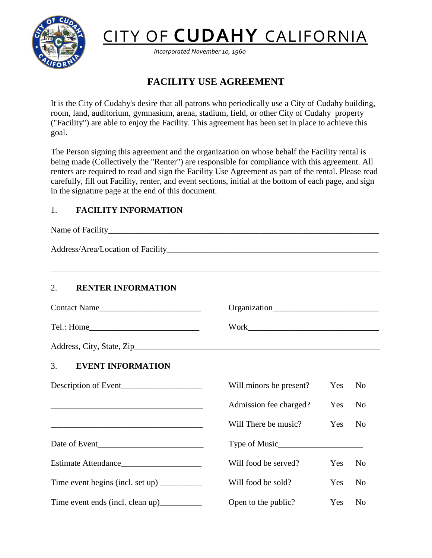

# CITY OF **CUDAHY** CALIFORNIA

*Incorporated November 10, 1960*

# **FACILITY USE AGREEMENT**

It is the City of Cudahy's desire that all patrons who periodically use a City of Cudahy building, room, land, auditorium, gymnasium, arena, stadium, field, or other City of Cudahy property ("Facility") are able to enjoy the Facility. This agreement has been set in place to achieve this goal.

The Person signing this agreement and the organization on whose behalf the Facility rental is being made (Collectively the "Renter") are responsible for compliance with this agreement. All renters are required to read and sign the Facility Use Agreement as part of the rental. Please read carefully, fill out Facility, renter, and event sections, initial at the bottom of each page, and sign in the signature page at the end of this document.

# 1. **FACILITY INFORMATION**

Name of Facility Address/Area/Location of Facility \_\_\_\_\_\_\_\_\_\_\_\_\_\_\_\_\_\_\_\_\_\_\_\_\_\_\_\_\_\_\_\_\_\_\_\_\_\_\_\_\_\_\_\_\_\_\_\_\_\_\_\_\_\_\_\_\_\_\_\_\_\_\_\_\_\_\_\_\_\_\_\_\_\_\_\_\_\_ 2. **RENTER INFORMATION** Contact Name the contract of the contract Name of the Contact Name of the Contract Organization Tel.: Home\_\_\_\_\_\_\_\_\_\_\_\_\_\_\_\_\_\_\_\_\_\_\_\_\_\_ Work\_\_\_\_\_\_\_\_\_\_\_\_\_\_\_\_\_\_\_\_\_\_\_\_\_\_\_\_\_\_\_ Address, City, State, Zip\_\_\_\_\_\_\_\_\_\_\_\_\_\_\_\_\_\_\_\_\_\_\_\_\_\_\_\_\_\_\_\_\_\_\_\_\_\_\_\_\_\_\_\_\_\_\_\_\_\_\_\_\_\_\_\_\_\_ 3. **EVENT INFORMATION** Description of Event\_\_\_\_\_\_\_\_\_\_\_\_\_\_\_\_\_\_\_\_\_\_\_\_\_\_ Will minors be present? Yes No Admission fee charged? Yes No Will There be music? Yes No Date of Event\_\_\_\_\_\_\_\_\_\_\_\_\_\_\_\_\_\_\_\_\_\_\_\_\_ Type of Music\_\_\_\_\_\_\_\_\_\_\_\_\_\_\_\_\_\_\_\_ Estimate Attendance\_\_\_\_\_\_\_\_\_\_\_\_\_\_\_\_\_\_\_ Will food be served? Yes No Time event begins (incl. set up) \_\_\_\_\_\_\_\_\_\_\_\_ Will food be sold? Yes No Time event ends (incl. clean up) Open to the public? Yes No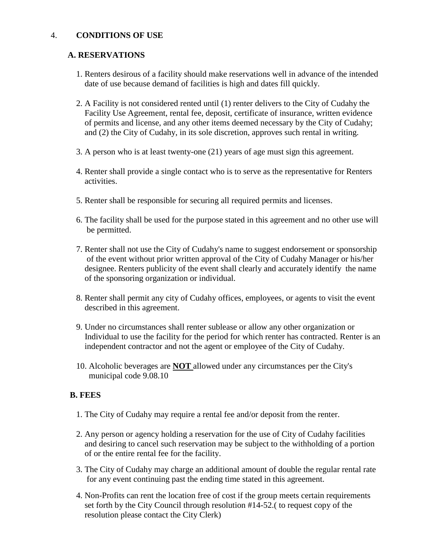# 4. **CONDITIONS OF USE**

#### **A. RESERVATIONS**

- 1. Renters desirous of a facility should make reservations well in advance of the intended date of use because demand of facilities is high and dates fill quickly.
- 2. A Facility is not considered rented until (1) renter delivers to the City of Cudahy the Facility Use Agreement, rental fee, deposit, certificate of insurance, written evidence of permits and license, and any other items deemed necessary by the City of Cudahy; and (2) the City of Cudahy, in its sole discretion, approves such rental in writing.
- 3. A person who is at least twenty-one (21) years of age must sign this agreement.
- 4. Renter shall provide a single contact who is to serve as the representative for Renters activities.
- 5. Renter shall be responsible for securing all required permits and licenses.
- 6. The facility shall be used for the purpose stated in this agreement and no other use will be permitted.
- 7. Renter shall not use the City of Cudahy's name to suggest endorsement or sponsorship of the event without prior written approval of the City of Cudahy Manager or his/her designee. Renters publicity of the event shall clearly and accurately identify the name of the sponsoring organization or individual.
- 8. Renter shall permit any city of Cudahy offices, employees, or agents to visit the event described in this agreement.
- 9. Under no circumstances shall renter sublease or allow any other organization or Individual to use the facility for the period for which renter has contracted. Renter is an independent contractor and not the agent or employee of the City of Cudahy.
- 10. Alcoholic beverages are **NOT** allowed under any circumstances per the City's municipal code 9.08.10

# **B. FEES**

- 1. The City of Cudahy may require a rental fee and/or deposit from the renter.
- 2. Any person or agency holding a reservation for the use of City of Cudahy facilities and desiring to cancel such reservation may be subject to the withholding of a portion of or the entire rental fee for the facility.
- 3. The City of Cudahy may charge an additional amount of double the regular rental rate for any event continuing past the ending time stated in this agreement.
- 4. Non-Profits can rent the location free of cost if the group meets certain requirements set forth by the City Council through resolution #14-52.( to request copy of the resolution please contact the City Clerk)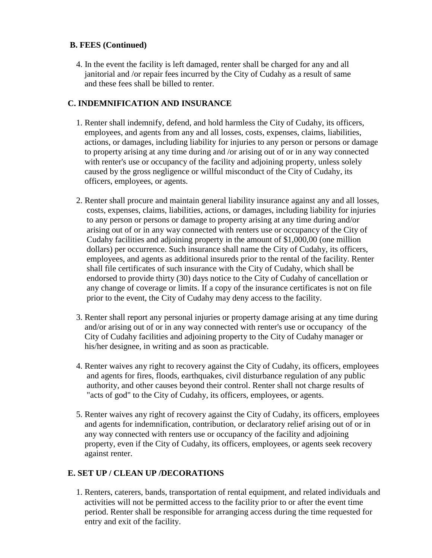# **B. FEES (Continued)**

4. In the event the facility is left damaged, renter shall be charged for any and all janitorial and /or repair fees incurred by the City of Cudahy as a result of same and these fees shall be billed to renter.

# **C. INDEMNIFICATION AND INSURANCE**

- 1. Renter shall indemnify, defend, and hold harmless the City of Cudahy, its officers, employees, and agents from any and all losses, costs, expenses, claims, liabilities, actions, or damages, including liability for injuries to any person or persons or damage to property arising at any time during and /or arising out of or in any way connected with renter's use or occupancy of the facility and adjoining property, unless solely caused by the gross negligence or willful misconduct of the City of Cudahy, its officers, employees, or agents.
- 2. Renter shall procure and maintain general liability insurance against any and all losses, costs, expenses, claims, liabilities, actions, or damages, including liability for injuries to any person or persons or damage to property arising at any time during and/or arising out of or in any way connected with renters use or occupancy of the City of Cudahy facilities and adjoining property in the amount of \$1,000,00 (one million dollars) per occurrence. Such insurance shall name the City of Cudahy, its officers, employees, and agents as additional insureds prior to the rental of the facility. Renter shall file certificates of such insurance with the City of Cudahy, which shall be endorsed to provide thirty (30) days notice to the City of Cudahy of cancellation or any change of coverage or limits. If a copy of the insurance certificates is not on file prior to the event, the City of Cudahy may deny access to the facility.
- 3. Renter shall report any personal injuries or property damage arising at any time during and/or arising out of or in any way connected with renter's use or occupancy of the City of Cudahy facilities and adjoining property to the City of Cudahy manager or his/her designee, in writing and as soon as practicable.
- 4. Renter waives any right to recovery against the City of Cudahy, its officers, employees and agents for fires, floods, earthquakes, civil disturbance regulation of any public authority, and other causes beyond their control. Renter shall not charge results of "acts of god" to the City of Cudahy, its officers, employees, or agents.
- 5. Renter waives any right of recovery against the City of Cudahy, its officers, employees and agents for indemnification, contribution, or declaratory relief arising out of or in any way connected with renters use or occupancy of the facility and adjoining property, even if the City of Cudahy, its officers, employees, or agents seek recovery against renter.

# **E. SET UP / CLEAN UP /DECORATIONS**

1. Renters, caterers, bands, transportation of rental equipment, and related individuals and activities will not be permitted access to the facility prior to or after the event time period. Renter shall be responsible for arranging access during the time requested for entry and exit of the facility.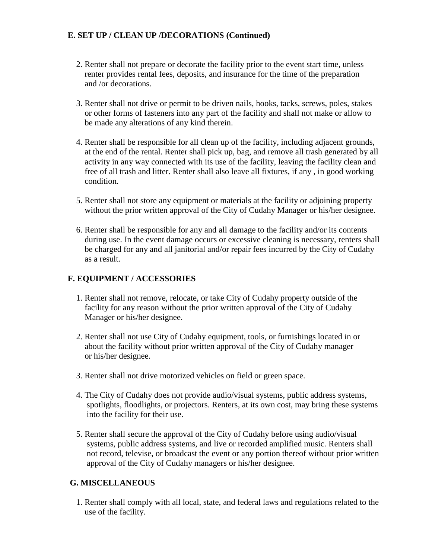# **E. SET UP / CLEAN UP /DECORATIONS (Continued)**

- 2. Renter shall not prepare or decorate the facility prior to the event start time, unless renter provides rental fees, deposits, and insurance for the time of the preparation and /or decorations.
- 3. Renter shall not drive or permit to be driven nails, hooks, tacks, screws, poles, stakes or other forms of fasteners into any part of the facility and shall not make or allow to be made any alterations of any kind therein.
- 4. Renter shall be responsible for all clean up of the facility, including adjacent grounds, at the end of the rental. Renter shall pick up, bag, and remove all trash generated by all activity in any way connected with its use of the facility, leaving the facility clean and free of all trash and litter. Renter shall also leave all fixtures, if any , in good working condition.
- 5. Renter shall not store any equipment or materials at the facility or adjoining property without the prior written approval of the City of Cudahy Manager or his/her designee.
- 6. Renter shall be responsible for any and all damage to the facility and/or its contents during use. In the event damage occurs or excessive cleaning is necessary, renters shall be charged for any and all janitorial and/or repair fees incurred by the City of Cudahy as a result.

# **F. EQUIPMENT / ACCESSORIES**

- 1. Renter shall not remove, relocate, or take City of Cudahy property outside of the facility for any reason without the prior written approval of the City of Cudahy Manager or his/her designee.
- 2. Renter shall not use City of Cudahy equipment, tools, or furnishings located in or about the facility without prior written approval of the City of Cudahy manager or his/her designee.
- 3. Renter shall not drive motorized vehicles on field or green space.
- 4. The City of Cudahy does not provide audio/visual systems, public address systems, spotlights, floodlights, or projectors. Renters, at its own cost, may bring these systems into the facility for their use.
- 5. Renter shall secure the approval of the City of Cudahy before using audio/visual systems, public address systems, and live or recorded amplified music. Renters shall not record, televise, or broadcast the event or any portion thereof without prior written approval of the City of Cudahy managers or his/her designee.

#### **G. MISCELLANEOUS**

1. Renter shall comply with all local, state, and federal laws and regulations related to the use of the facility.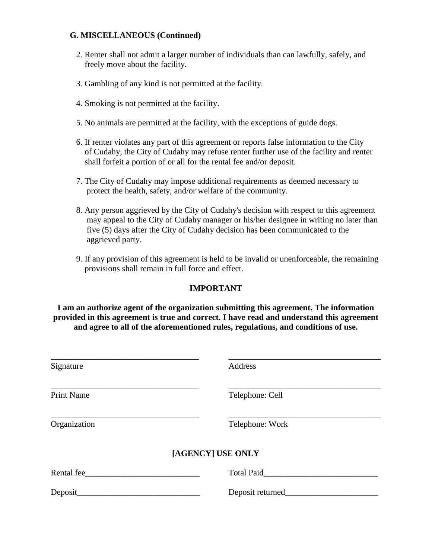#### **G. MISCELLANEOUS (Continued)**

- 2. Renter shall not admit a larger number of individuals than can lawfully, safely, and freely move about the facility.
- 3. Gambling of any kind is not permitted at the facility.
- 4. Smoking is not permitted at the facility.
- 5. No animals are permitted at the facility, with the exceptions of guide dogs.
- 6. If renter violates any part of this agreement or reports false information to the City of Cudahy, the City of Cudahy may refuse renter further use of the facility and renter shall forfeit a portion of or all for the rental fee and/or deposit.
- 7. The City of Cudahy may impose additional requirements as deemed necessary to protect the health, safety, and/or welfare of the community.
- 8. Any person aggrieved by the City of Cudahy's decision with respect to this agreement may appeal to the City of Cudahy manager or his/her designee in writing no later than five (5) days after the City of Cudahy decision has been communicated to the aggrieved party.
- 9. If any provision of this agreement is held to be invalid or unenforceable, the remaining provisions shall remain in full force and effect.

# **IMPORTANT**

#### **I am an authorize agent of the organization submitting this agreement. The information provided in this agreement is true and correct. I have read and understand this agreement and agree to all of the aforementioned rules, regulations, and conditions of use.**

| Signature         | Address           |
|-------------------|-------------------|
|                   |                   |
| <b>Print Name</b> | Telephone: Cell   |
|                   |                   |
| Organization      | Telephone: Work   |
| [AGENCY] USE ONLY |                   |
|                   |                   |
| Rental fee        | <b>Total Paid</b> |
| Deposit           | Deposit returned_ |
|                   |                   |